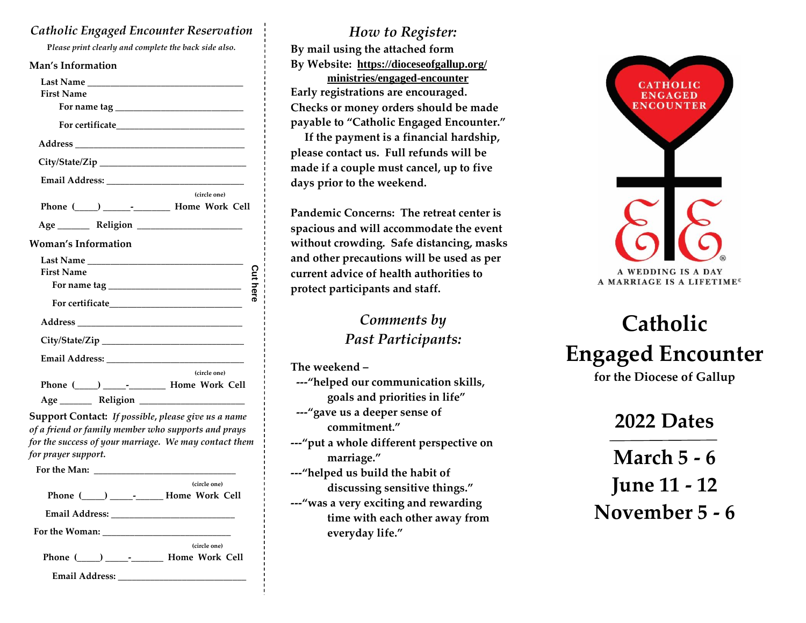#### *Catholic Engaged Encounter Reservation*

**P***lease print clearly and complete the back side also.*

| <b>Man's Information</b>                                                                                                                                                   |         |
|----------------------------------------------------------------------------------------------------------------------------------------------------------------------------|---------|
|                                                                                                                                                                            |         |
| <b>First Name</b>                                                                                                                                                          |         |
|                                                                                                                                                                            |         |
|                                                                                                                                                                            |         |
|                                                                                                                                                                            |         |
|                                                                                                                                                                            |         |
|                                                                                                                                                                            |         |
| (circle one)                                                                                                                                                               |         |
| Phone (____) ________________ Home Work Cell                                                                                                                               |         |
|                                                                                                                                                                            |         |
| <b>Woman's Information</b>                                                                                                                                                 |         |
|                                                                                                                                                                            |         |
| <b>First Name</b>                                                                                                                                                          |         |
|                                                                                                                                                                            | Cut her |
|                                                                                                                                                                            |         |
|                                                                                                                                                                            |         |
|                                                                                                                                                                            |         |
|                                                                                                                                                                            |         |
| (circle one)                                                                                                                                                               |         |
| Phone (____) _______________ Home Work Cell                                                                                                                                |         |
|                                                                                                                                                                            |         |
| <b>Support Contact:</b> If possible, please give us a name<br>of a friend or family member who supports and prays<br>for the success of your marriage. We may contact them |         |

|  | (circle one)                                   |
|--|------------------------------------------------|
|  | Phone (____) ___________ Home Work Cell        |
|  |                                                |
|  |                                                |
|  | (circle one)                                   |
|  | Phone ( ___ ) _________________ Home Work Cell |
|  |                                                |

*for prayer support.*

#### *How to Register:*

**By mail using the attached form By Website: <https://dioceseofgallup.org/> ministries/engaged-encounter Early registrations are encouraged. Checks or money orders should be made payable to "Catholic Engaged Encounter."**

 **If the payment is a financial hardship, please contact us. Full refunds will be made if a couple must cancel, up to five days prior to the weekend.** 

**Pandemic Concerns: The retreat center is spacious and will accommodate the event without crowding. Safe distancing, masks and other precautions will be used as per current advice of health authorities to protect participants and staff.**

> *Comments by Past Participants:*

**The weekend – ---"helped our communication skills, goals and priorities in life"**

 **---"gave us a deeper sense of commitment."**

**---"put a whole different perspective on marriage."**

**---"helped us build the habit of discussing sensitive things."**

**---"was a very exciting and rewarding time with each other away from everyday life."**



# **Catholic Engaged Encounter**

**for the Diocese of Gallup**

## **2022 Dates**

**March 5 - 6 June 11 - 12 November 5 - 6**